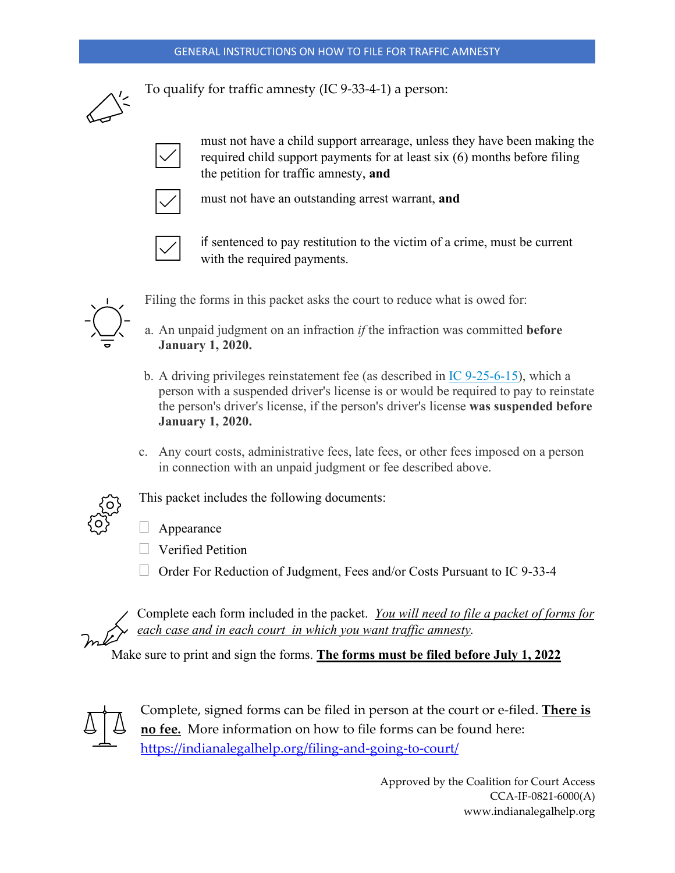#### GENERAL INSTRUCTIONS ON HOW TO FILE FOR TRAFFIC AMNESTY



To qualify for traffic amnesty (IC 9-33-4-1) a person:



must not have a child support arrearage, unless they have been making the required child support payments for at least six (6) months before filing the petition for traffic amnesty, **and**



must not have an outstanding arrest warrant, **and**



if sentenced to pay restitution to the victim of a crime, must be current with the required payments.



Filing the forms in this packet asks the court to reduce what is owed for:

- a. An unpaid judgment on an infraction *if* the infraction was committed **before January 1, 2020.**
- b. A driving privileges reinstatement fee (as described in  $IC$  9-25-6-15), which a person with a suspended driver's license is or would be required to pay to reinstate the person's driver's license, if the person's driver's license **was suspended before January 1, 2020.**
- c. Any court costs, administrative fees, late fees, or other fees imposed on a person in connection with an unpaid judgment or fee described above.

This packet includes the following documents:

- $\Box$  Appearance
- **U** Verified Petition
- Order For Reduction of Judgment, Fees and/or Costs Pursuant to IC 9-33-4

Complete each form included in the packet. *You will need to file a packet of forms for each case and in each court in which you want traffic amnesty.* 

Make sure to print and sign the forms. **The forms must be filed before July 1, 2022**



Complete, signed forms can be filed in person at the court or e-filed. **There is no fee.** More information on how to file forms can be found here: <https://indianalegalhelp.org/filing-and-going-to-court/>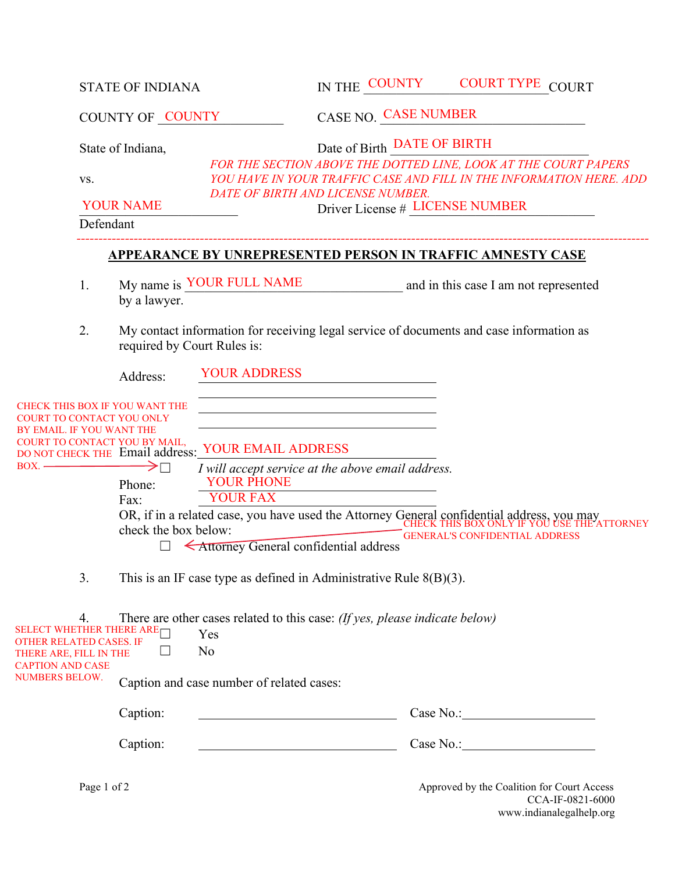|                                                                                                                                   | <b>STATE OF INDIANA</b><br>COUNTY OF COUNTY                                 |                                                                                                                                    |                                                                                                                                                                                                  | IN THE COUNTY                                                                                                                                                         | <b>COURT TYPE COURT</b>                                                                                                      |  |  |  |  |
|-----------------------------------------------------------------------------------------------------------------------------------|-----------------------------------------------------------------------------|------------------------------------------------------------------------------------------------------------------------------------|--------------------------------------------------------------------------------------------------------------------------------------------------------------------------------------------------|-----------------------------------------------------------------------------------------------------------------------------------------------------------------------|------------------------------------------------------------------------------------------------------------------------------|--|--|--|--|
|                                                                                                                                   |                                                                             |                                                                                                                                    |                                                                                                                                                                                                  | <b>CASE NO. CASE NUMBER</b>                                                                                                                                           |                                                                                                                              |  |  |  |  |
|                                                                                                                                   | State of Indiana,<br>VS.<br><b>YOUR NAME</b>                                |                                                                                                                                    |                                                                                                                                                                                                  | Date of Birth DATE OF BIRTH<br>FOR THE SECTION ABOVE THE DOTTED LINE, LOOK AT THE COURT PAPERS<br>YOU HAVE IN YOUR TRAFFIC CASE AND FILL IN THE INFORMATION HERE. ADD |                                                                                                                              |  |  |  |  |
|                                                                                                                                   |                                                                             |                                                                                                                                    |                                                                                                                                                                                                  | DATE OF BIRTH AND LICENSE NUMBER.<br>Driver License # LICENSE NUMBER                                                                                                  |                                                                                                                              |  |  |  |  |
|                                                                                                                                   | Defendant                                                                   |                                                                                                                                    |                                                                                                                                                                                                  |                                                                                                                                                                       |                                                                                                                              |  |  |  |  |
|                                                                                                                                   | <b>APPEARANCE BY UNREPRESENTED PERSON IN TRAFFIC AMNESTY CASE</b>           |                                                                                                                                    |                                                                                                                                                                                                  |                                                                                                                                                                       |                                                                                                                              |  |  |  |  |
|                                                                                                                                   | 1.                                                                          | by a lawyer.                                                                                                                       | My name is YOUR FULL NAME                                                                                                                                                                        |                                                                                                                                                                       | and in this case I am not represented                                                                                        |  |  |  |  |
|                                                                                                                                   | 2.                                                                          | My contact information for receiving legal service of documents and case information as<br>required by Court Rules is:             |                                                                                                                                                                                                  |                                                                                                                                                                       |                                                                                                                              |  |  |  |  |
|                                                                                                                                   |                                                                             | Address:                                                                                                                           | <b>YOUR ADDRESS</b>                                                                                                                                                                              |                                                                                                                                                                       |                                                                                                                              |  |  |  |  |
| BY EMAIL. IF YOU WANT THE<br>$\overline{BOX}$ .                                                                                   |                                                                             | CHECK THIS BOX IF YOU WANT THE<br>' TO CONTACT YOU ONLY<br>COURT TO CONTACT YOU BY MAIL,<br>Phone:<br>Fax:<br>check the box below: | DO NOT CHECK THE Email address: YOUR EMAIL ADDRESS<br>I will accept service at the above email address.<br><b>YOUR PHONE</b><br><b>YOUR FAX</b><br><b>KAttorney General confidential address</b> |                                                                                                                                                                       | OR, if in a related case, you have used the Attorney General confidential address, you may<br>GENERAL'S CONFIDENTIAL ADDRESS |  |  |  |  |
|                                                                                                                                   | 3.<br>This is an IF case type as defined in Administrative Rule $8(B)(3)$ . |                                                                                                                                    |                                                                                                                                                                                                  |                                                                                                                                                                       |                                                                                                                              |  |  |  |  |
| SELECT WHETHER THERE ARE<br>OTHER RELATED CASES. IF<br>THERE ARE, FILL IN THE<br><b>CAPTION AND CASE</b><br><b>NUMBERS BELOW.</b> | 4.                                                                          |                                                                                                                                    | There are other cases related to this case: (If yes, please indicate below)<br>Yes<br>N <sub>o</sub><br>Caption and case number of related cases:                                                |                                                                                                                                                                       |                                                                                                                              |  |  |  |  |
|                                                                                                                                   |                                                                             | Caption:                                                                                                                           |                                                                                                                                                                                                  |                                                                                                                                                                       |                                                                                                                              |  |  |  |  |
|                                                                                                                                   |                                                                             | Caption:                                                                                                                           |                                                                                                                                                                                                  |                                                                                                                                                                       |                                                                                                                              |  |  |  |  |
|                                                                                                                                   | Page 1 of 2                                                                 |                                                                                                                                    |                                                                                                                                                                                                  |                                                                                                                                                                       | Approved by the Coalition for Court Access                                                                                   |  |  |  |  |

CCA-IF-0821-6000 www.indianalegalhelp.org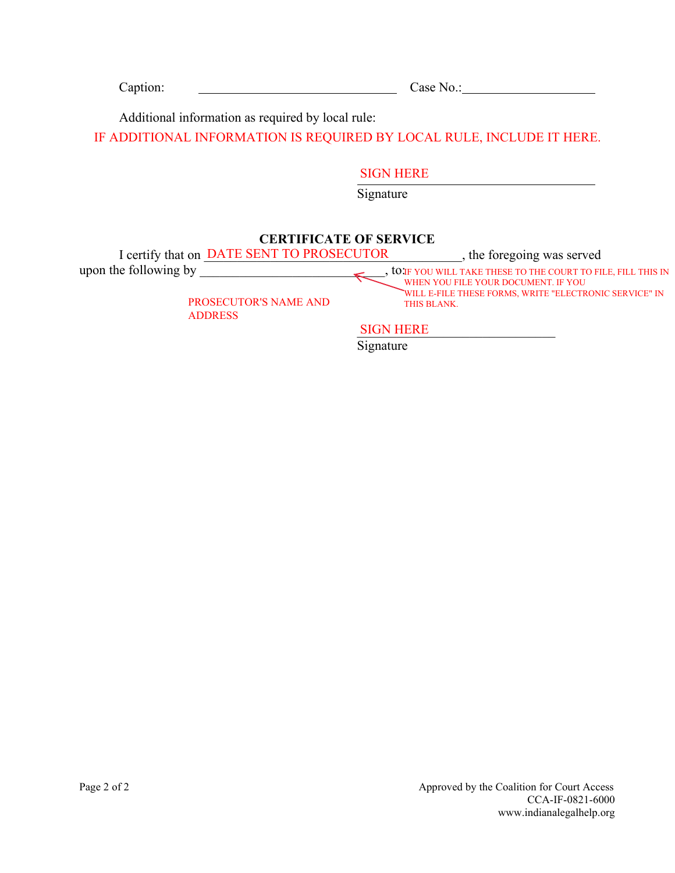| $Case No.$ :                                                                                                                      |  |  |  |
|-----------------------------------------------------------------------------------------------------------------------------------|--|--|--|
| Additional information as required by local rule:                                                                                 |  |  |  |
| IF ADDITIONAL INFORMATION IS REQUIRED BY LOCAL RULE, INCLUDE IT HERE.                                                             |  |  |  |
| <b>SIGN HERE</b>                                                                                                                  |  |  |  |
| Signature                                                                                                                         |  |  |  |
| <b>CERTIFICATE OF SERVICE</b>                                                                                                     |  |  |  |
| I certify that on DATE SENT TO PROSECUTOR<br>, the foregoing was served<br>to IF YOU WILL TAKE THESE TO THE COURT TO FILE, FILL T |  |  |  |
|                                                                                                                                   |  |  |  |

PROSECUTOR'S NAME AND THIS BLANK. ADDRESS

IF YOU WILL TAKE THESE TO THE COURT TO FILE, FILL THIS IN WHEN YOU FILE YOUR DOCUMENT. IF YOU WILL E-FILE THESE FORMS, WRITE "ELECTRONIC SERVICE" IN

 $SIGN$  HERE **Signature** 

Page 2 of 2 Approved by the Coalition for Court Access CCA-IF-0821-6000 www.indianalegalhelp.org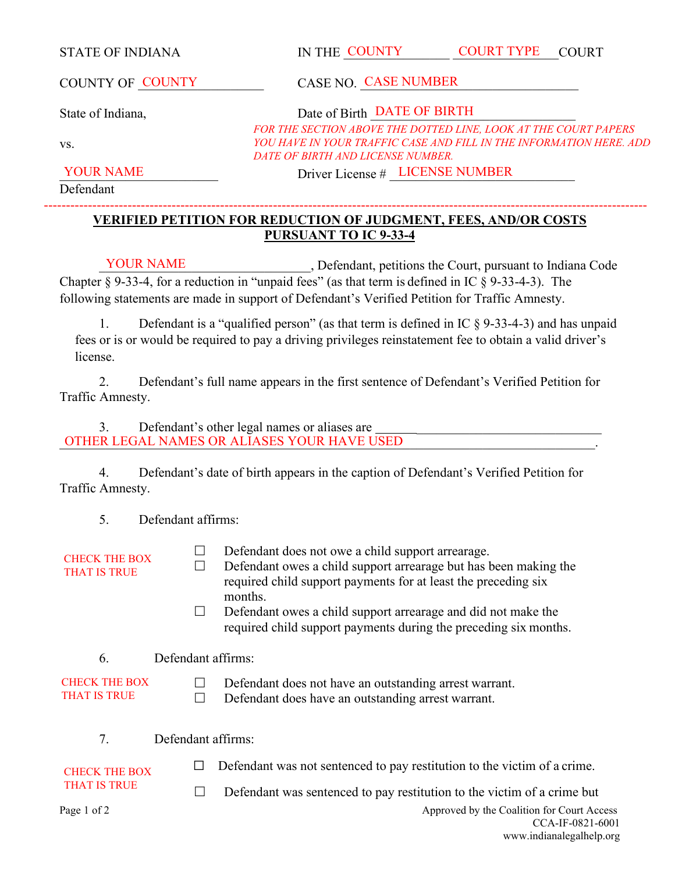STATE OF INDIANA IN THE COUNTY COURT TYPE COURT COURT TYPE

COUNTY OF COUNTY CASE NO. CASE NUMBER COUNTY OF COUNTY

State of Indiana, State of Birth DATE OF BIRTH

*FOR THE SECTION ABOVE THE DOTTED LINE, LOOK AT THE COURT PAPERS YOU HAVE IN YOUR TRAFFIC CASE AND FILL IN THE INFORMATION HERE. ADD DATE OF BIRTH AND LICENSE NUMBER.*

YOUR NAME Driver License # LICENSE NUMBER

Defendant

vs.

#### **VERIFIED PETITION FOR REDUCTION OF JUDGMENT, FEES, AND/OR COSTS PURSUANT TO IC 9-33-4**  -----------------------------------------------------------------------------------------------------------------------------------------

\_\_\_\_\_\_\_\_\_\_\_\_\_\_\_\_\_\_\_\_\_\_\_\_\_\_\_\_\_\_\_\_, Defendant, petitions the Court, pursuant to Indiana Code Chapter § 9-33-4, for a reduction in "unpaid fees" (as that term is defined in IC § 9-33-4-3). The following statements are made in support of Defendant's Verified Petition for Traffic Amnesty. YOUR NAME

1. Defendant is a "qualified person" (as that term is defined in IC § 9-33-4-3) and has unpaid fees or is or would be required to pay a driving privileges reinstatement fee to obtain a valid driver's license.

2. Defendant's full name appears in the first sentence of Defendant's Verified Petition for Traffic Amnesty.

3. Defendant's other legal names or aliases are \_\_\_\_\_\_\_\_\_\_\_\_\_\_\_\_\_\_\_\_\_\_\_\_\_\_\_\_\_\_\_\_\_\_\_\_\_\_\_\_\_\_\_\_\_\_\_\_\_\_\_\_\_\_\_\_\_\_\_\_\_\_\_\_\_\_\_\_\_\_\_\_\_\_\_\_\_\_\_\_\_. OTHER LEGAL NAMES OR ALIASES YOUR HAVE USED

4. Defendant's date of birth appears in the caption of Defendant's Verified Petition for Traffic Amnesty.

5. Defendant affirms:

CHECK THE BOX THAT IS TRUE

 $\Box$  Defendant does not owe a child support arrearage.

- $\Box$  Defendant owes a child support arrearage but has been making the required child support payments for at least the preceding six months.
- $\Box$  Defendant owes a child support arrearage and did not make the required child support payments during the preceding six months.

6. Defendant affirms:

CHECK THE BOX THAT IS TRUE

- $\Box$  Defendant does not have an outstanding arrest warrant.
	- $\Box$  Defendant does have an outstanding arrest warrant.

7. Defendant affirms:

CHECK THE BOX THAT IS TRUE

 $\Box$  Defendant was not sentenced to pay restitution to the victim of a crime.

 $\Box$  Defendant was sentenced to pay restitution to the victim of a crime but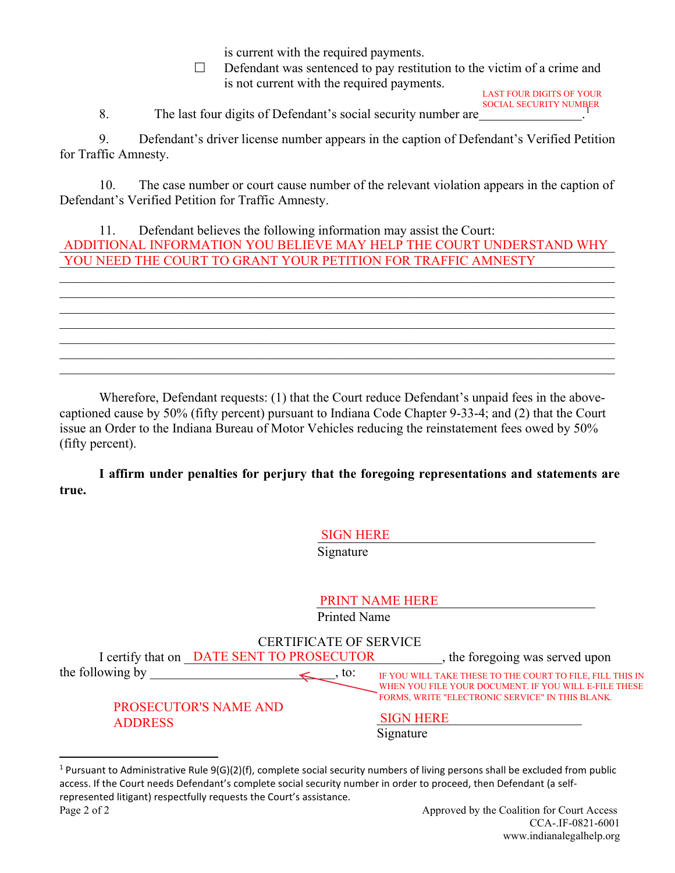is current with the required payments.

 $\Box$  Defendant was sentenced to pay restitution to the victim of a crime and is not current with the required payments.

[1](#page-4-0) SOCIAL SECURITY NUMBER LAST FOUR DIGITS OF YOUR

8. The last four digits of Defendant's social security number are .

9. Defendant's driver license number appears in the caption of Defendant's Verified Petition for Traffic Amnesty.

10. The case number or court cause number of the relevant violation appears in the caption of Defendant's Verified Petition for Traffic Amnesty.

11. Defendant believes the following information may assist the Court: ADDITIONAL INFORMATION YOU BELIEVE MAY HELP THE COURT UNDERSTAND WHY YOU NEED THE COURT TO GRANT YOUR PETITION FOR TRAFFIC AMNESTY

\_\_\_\_\_\_\_\_\_\_\_\_\_\_\_\_\_\_\_\_\_\_\_\_\_\_\_\_\_\_\_\_\_\_\_\_\_\_\_\_\_\_\_\_\_\_\_\_\_\_\_\_\_\_\_\_\_\_\_\_\_\_\_\_\_\_\_\_\_\_\_\_\_\_\_\_\_\_\_\_\_\_\_\_

\_\_\_\_\_\_\_\_\_\_\_\_\_\_\_\_\_\_\_\_\_\_\_\_\_\_\_\_\_\_\_\_\_\_\_\_\_\_\_\_\_\_\_\_\_\_\_\_\_\_\_\_\_\_\_\_\_\_\_\_\_\_\_\_\_\_\_\_\_\_\_\_\_\_\_\_\_\_\_\_\_\_\_\_ \_\_\_\_\_\_\_\_\_\_\_\_\_\_\_\_\_\_\_\_\_\_\_\_\_\_\_\_\_\_\_\_\_\_\_\_\_\_\_\_\_\_\_\_\_\_\_\_\_\_\_\_\_\_\_\_\_\_\_\_\_\_\_\_\_\_\_\_\_\_\_\_\_\_\_\_\_\_\_\_\_\_\_\_

\_\_\_\_\_\_\_\_\_\_\_\_\_\_\_\_\_\_\_\_\_\_\_\_\_\_\_\_\_\_\_\_\_\_\_\_\_\_\_\_\_\_\_\_\_\_\_\_\_\_\_\_\_\_\_\_\_\_\_\_\_\_\_\_\_\_\_\_\_\_\_\_\_\_\_\_\_\_\_\_\_\_\_\_

Wherefore, Defendant requests: (1) that the Court reduce Defendant's unpaid fees in the abovecaptioned cause by 50% (fifty percent) pursuant to Indiana Code Chapter 9-33-4; and (2) that the Court issue an Order to the Indiana Bureau of Motor Vehicles reducing the reinstatement fees owed by 50% (fifty percent).

**I affirm under penalties for perjury that the foregoing representations and statements are true.**

SIGN HERE

|                                                                                |                                           | Signature |                                                                                                                    |  |  |  |  |
|--------------------------------------------------------------------------------|-------------------------------------------|-----------|--------------------------------------------------------------------------------------------------------------------|--|--|--|--|
| <b>PRINT NAME HERE</b><br><b>Printed Name</b><br><b>CERTIFICATE OF SERVICE</b> |                                           |           |                                                                                                                    |  |  |  |  |
|                                                                                | I certify that on DATE SENT TO PROSECUTOR |           | , the foregoing was served upon                                                                                    |  |  |  |  |
| the following by                                                               |                                           | to:       | IF YOU WILL TAKE THESE TO THE COURT TO FILE, FILL THIS IN<br>WHEN YOU FILE YOUR DOCUMENT. IF YOU WILL E-FILE THESE |  |  |  |  |
| <b>ADDRESS</b>                                                                 | <b>PROSECUTOR'S NAME AND</b>              |           | FORMS, WRITE "ELECTRONIC SERVICE" IN THIS BLANK.<br><b>SIGN HERE</b><br>Signature                                  |  |  |  |  |

<span id="page-4-0"></span>Page 2 of 2 Approved by the Coalition for Court Access <sup>1</sup> Pursuant to Administrative Rule  $9(G)(2)(f)$ , complete social security numbers of living persons shall be excluded from public access. If the Court needs Defendant's complete social security number in order to proceed, then Defendant (a selfrepresented litigant) respectfully requests the Court's assistance.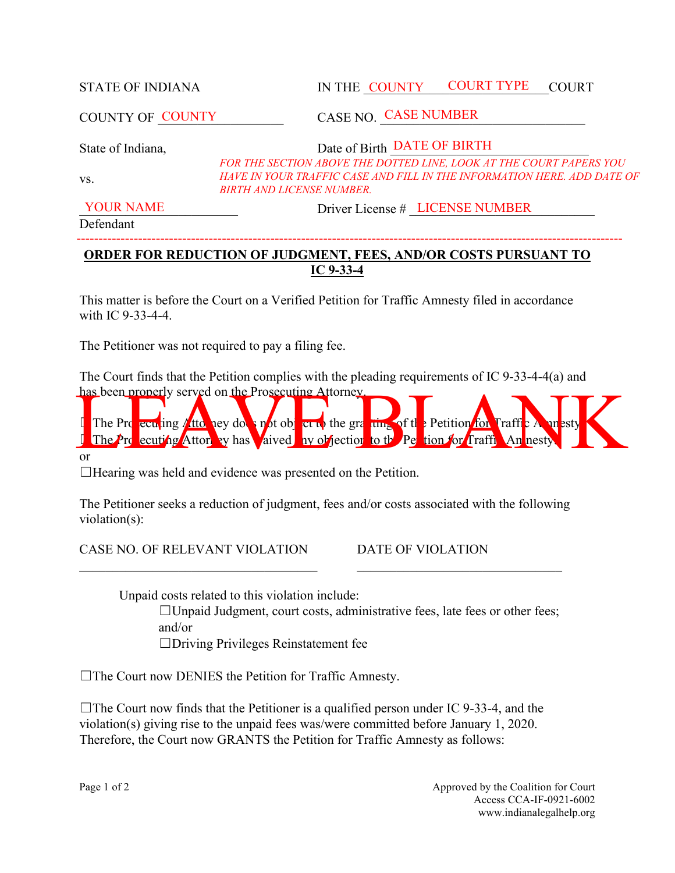STATE OF INDIANA IN THE COUNTY COURT TYPE COURT COURT TYPE

COUNTY OF COUNTY

COUNTY OF COUNTY CASE NO. CASE NUMBER

State of Indiana, State of Birth DATE OF BIRTH

*FOR THE SECTION ABOVE THE DOTTED LINE, LOOK AT THE COURT PAPERS YOU*  HAVE IN YOUR TRAFFIC CASE AND FILL IN THE INFORMATION HERE. ADD DATE OF *BIRTH AND LICENSE NUMBER.*

YOUR NAME Driver License # LICENSE NUMBER

Defendant

vs.

## **ORDER FOR REDUCTION OF JUDGMENT, FEES, AND/OR COSTS PURSUANT TO IC 9-33-4**

----------------------------------------------------------------------------------------------------------------------------

This matter is before the Court on a Verified Petition for Traffic Amnesty filed in accordance with IC 9-33-4-4.

The Petitioner was not required to pay a filing fee.

The Court finds that the Petition complies with the pleading requirements of IC 9-33-4-4(a) and has been properly served on the Prosecuting Attorney.



or

☐Hearing was held and evidence was presented on the Petition.

The Petitioner seeks a reduction of judgment, fees and/or costs associated with the following violation(s):

 $\mathcal{L}_\mathcal{L} = \mathcal{L}_\mathcal{L} = \mathcal{L}_\mathcal{L} = \mathcal{L}_\mathcal{L} = \mathcal{L}_\mathcal{L} = \mathcal{L}_\mathcal{L} = \mathcal{L}_\mathcal{L} = \mathcal{L}_\mathcal{L} = \mathcal{L}_\mathcal{L} = \mathcal{L}_\mathcal{L} = \mathcal{L}_\mathcal{L} = \mathcal{L}_\mathcal{L} = \mathcal{L}_\mathcal{L} = \mathcal{L}_\mathcal{L} = \mathcal{L}_\mathcal{L} = \mathcal{L}_\mathcal{L} = \mathcal{L}_\mathcal{L}$ 

CASE NO. OF RELEVANT VIOLATION DATE OF VIOLATION

Unpaid costs related to this violation include:

 $\Box$ Unpaid Judgment, court costs, administrative fees, late fees or other fees; and/or

☐Driving Privileges Reinstatement fee

☐The Court now DENIES the Petition for Traffic Amnesty.

 $\Box$ The Court now finds that the Petitioner is a qualified person under IC 9-33-4, and the violation(s) giving rise to the unpaid fees was/were committed before January 1, 2020. Therefore, the Court now GRANTS the Petition for Traffic Amnesty as follows: